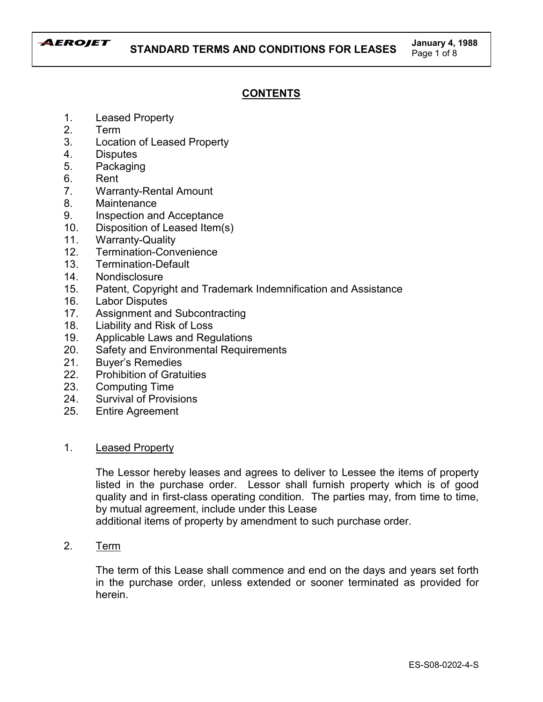

# **CONTENTS**

- 1. Leased Property
- 2. Term
- 3. Location of Leased Property
- 4. Disputes
- 5. Packaging
- 6. Rent
- 7. Warranty-Rental Amount
- 8. Maintenance
- 9. Inspection and Acceptance
- 10. Disposition of Leased Item(s)
- 11. Warranty-Quality
- 12. Termination-Convenience
- 13. Termination-Default
- 14. Nondisclosure
- 15. Patent, Copyright and Trademark Indemnification and Assistance
- 16. Labor Disputes
- 17. Assignment and Subcontracting
- 18. Liability and Risk of Loss
- 19. Applicable Laws and Regulations
- 20. Safety and Environmental Requirements
- 21. Buyer's Remedies
- 22. Prohibition of Gratuities
- 23. Computing Time
- 24. Survival of Provisions
- 25. Entire Agreement

# 1. Leased Property

The Lessor hereby leases and agrees to deliver to Lessee the items of property listed in the purchase order. Lessor shall furnish property which is of good quality and in first-class operating condition. The parties may, from time to time, by mutual agreement, include under this Lease

additional items of property by amendment to such purchase order.

2. Term

The term of this Lease shall commence and end on the days and years set forth in the purchase order, unless extended or sooner terminated as provided for herein.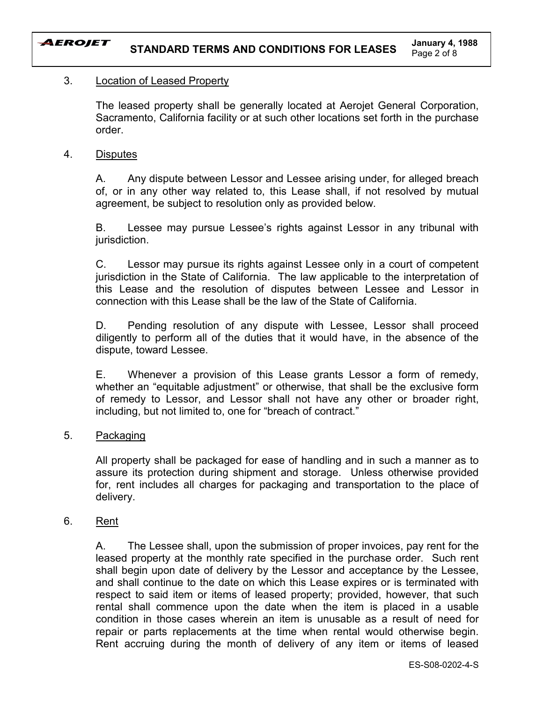

# 3. Location of Leased Property

The leased property shall be generally located at Aerojet General Corporation, Sacramento, California facility or at such other locations set forth in the purchase order.

# 4. Disputes

A. Any dispute between Lessor and Lessee arising under, for alleged breach of, or in any other way related to, this Lease shall, if not resolved by mutual agreement, be subject to resolution only as provided below.

B. Lessee may pursue Lessee's rights against Lessor in any tribunal with jurisdiction.

C. Lessor may pursue its rights against Lessee only in a court of competent jurisdiction in the State of California. The law applicable to the interpretation of this Lease and the resolution of disputes between Lessee and Lessor in connection with this Lease shall be the law of the State of California.

D. Pending resolution of any dispute with Lessee, Lessor shall proceed diligently to perform all of the duties that it would have, in the absence of the dispute, toward Lessee.

E. Whenever a provision of this Lease grants Lessor a form of remedy, whether an "equitable adjustment" or otherwise, that shall be the exclusive form of remedy to Lessor, and Lessor shall not have any other or broader right, including, but not limited to, one for "breach of contract."

# 5. Packaging

All property shall be packaged for ease of handling and in such a manner as to assure its protection during shipment and storage. Unless otherwise provided for, rent includes all charges for packaging and transportation to the place of delivery.

# 6. Rent

A. The Lessee shall, upon the submission of proper invoices, pay rent for the leased property at the monthly rate specified in the purchase order. Such rent shall begin upon date of delivery by the Lessor and acceptance by the Lessee, and shall continue to the date on which this Lease expires or is terminated with respect to said item or items of leased property; provided, however, that such rental shall commence upon the date when the item is placed in a usable condition in those cases wherein an item is unusable as a result of need for repair or parts replacements at the time when rental would otherwise begin. Rent accruing during the month of delivery of any item or items of leased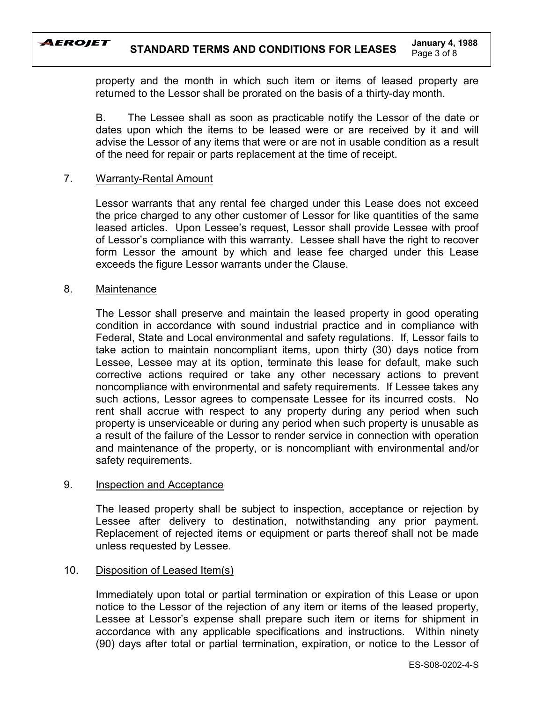

property and the month in which such item or items of leased property are returned to the Lessor shall be prorated on the basis of a thirty-day month.

B. The Lessee shall as soon as practicable notify the Lessor of the date or dates upon which the items to be leased were or are received by it and will advise the Lessor of any items that were or are not in usable condition as a result of the need for repair or parts replacement at the time of receipt.

# 7. Warranty-Rental Amount

Lessor warrants that any rental fee charged under this Lease does not exceed the price charged to any other customer of Lessor for like quantities of the same leased articles. Upon Lessee's request, Lessor shall provide Lessee with proof of Lessorís compliance with this warranty. Lessee shall have the right to recover form Lessor the amount by which and lease fee charged under this Lease exceeds the figure Lessor warrants under the Clause.

# 8. Maintenance

The Lessor shall preserve and maintain the leased property in good operating condition in accordance with sound industrial practice and in compliance with Federal, State and Local environmental and safety regulations. If, Lessor fails to take action to maintain noncompliant items, upon thirty (30) days notice from Lessee, Lessee may at its option, terminate this lease for default, make such corrective actions required or take any other necessary actions to prevent noncompliance with environmental and safety requirements. If Lessee takes any such actions, Lessor agrees to compensate Lessee for its incurred costs. No rent shall accrue with respect to any property during any period when such property is unserviceable or during any period when such property is unusable as a result of the failure of the Lessor to render service in connection with operation and maintenance of the property, or is noncompliant with environmental and/or safety requirements.

# 9. Inspection and Acceptance

The leased property shall be subject to inspection, acceptance or rejection by Lessee after delivery to destination, notwithstanding any prior payment. Replacement of rejected items or equipment or parts thereof shall not be made unless requested by Lessee.

# 10. Disposition of Leased Item(s)

Immediately upon total or partial termination or expiration of this Lease or upon notice to the Lessor of the rejection of any item or items of the leased property, Lessee at Lessor's expense shall prepare such item or items for shipment in accordance with any applicable specifications and instructions. Within ninety (90) days after total or partial termination, expiration, or notice to the Lessor of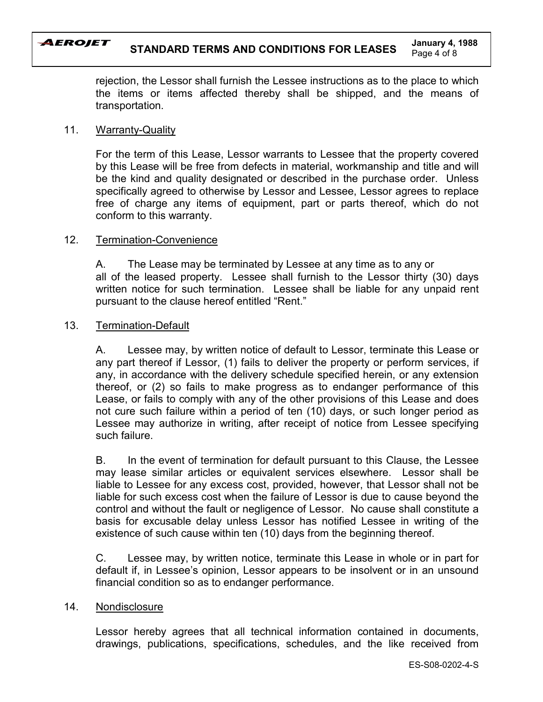#### AEROJET **STANDARD TERMS AND CONDITIONS FOR LEASES January 4, 1988** Page 4 of 8

rejection, the Lessor shall furnish the Lessee instructions as to the place to which the items or items affected thereby shall be shipped, and the means of transportation.

## 11. Warranty-Quality

For the term of this Lease, Lessor warrants to Lessee that the property covered by this Lease will be free from defects in material, workmanship and title and will be the kind and quality designated or described in the purchase order. Unless specifically agreed to otherwise by Lessor and Lessee, Lessor agrees to replace free of charge any items of equipment, part or parts thereof, which do not conform to this warranty.

## 12. Termination-Convenience

A. The Lease may be terminated by Lessee at any time as to any or all of the leased property. Lessee shall furnish to the Lessor thirty (30) days written notice for such termination. Lessee shall be liable for any unpaid rent pursuant to the clause hereof entitled "Rent."

## 13. Termination-Default

A. Lessee may, by written notice of default to Lessor, terminate this Lease or any part thereof if Lessor, (1) fails to deliver the property or perform services, if any, in accordance with the delivery schedule specified herein, or any extension thereof, or (2) so fails to make progress as to endanger performance of this Lease, or fails to comply with any of the other provisions of this Lease and does not cure such failure within a period of ten (10) days, or such longer period as Lessee may authorize in writing, after receipt of notice from Lessee specifying such failure.

B. In the event of termination for default pursuant to this Clause, the Lessee may lease similar articles or equivalent services elsewhere. Lessor shall be liable to Lessee for any excess cost, provided, however, that Lessor shall not be liable for such excess cost when the failure of Lessor is due to cause beyond the control and without the fault or negligence of Lessor. No cause shall constitute a basis for excusable delay unless Lessor has notified Lessee in writing of the existence of such cause within ten (10) days from the beginning thereof.

C. Lessee may, by written notice, terminate this Lease in whole or in part for default if, in Lessee's opinion, Lessor appears to be insolvent or in an unsound financial condition so as to endanger performance.

### 14. Nondisclosure

Lessor hereby agrees that all technical information contained in documents, drawings, publications, specifications, schedules, and the like received from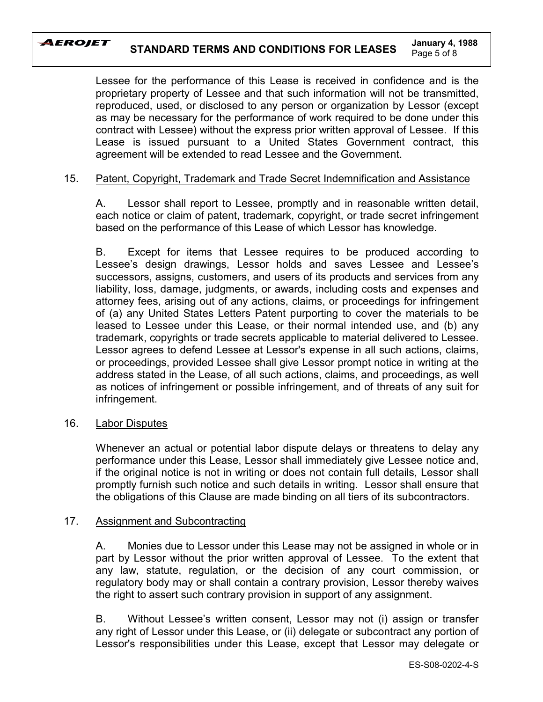## AEROJET

Lessee for the performance of this Lease is received in confidence and is the proprietary property of Lessee and that such information will not be transmitted, reproduced, used, or disclosed to any person or organization by Lessor (except as may be necessary for the performance of work required to be done under this contract with Lessee) without the express prior written approval of Lessee. If this Lease is issued pursuant to a United States Government contract, this agreement will be extended to read Lessee and the Government.

# 15. Patent, Copyright, Trademark and Trade Secret Indemnification and Assistance

A. Lessor shall report to Lessee, promptly and in reasonable written detail, each notice or claim of patent, trademark, copyright, or trade secret infringement based on the performance of this Lease of which Lessor has knowledge.

B. Except for items that Lessee requires to be produced according to Lessee's design drawings, Lessor holds and saves Lessee and Lessee's successors, assigns, customers, and users of its products and services from any liability, loss, damage, judgments, or awards, including costs and expenses and attorney fees, arising out of any actions, claims, or proceedings for infringement of (a) any United States Letters Patent purporting to cover the materials to be leased to Lessee under this Lease, or their normal intended use, and (b) any trademark, copyrights or trade secrets applicable to material delivered to Lessee. Lessor agrees to defend Lessee at Lessor's expense in all such actions, claims, or proceedings, provided Lessee shall give Lessor prompt notice in writing at the address stated in the Lease, of all such actions, claims, and proceedings, as well as notices of infringement or possible infringement, and of threats of any suit for infringement.

# 16. Labor Disputes

Whenever an actual or potential labor dispute delays or threatens to delay any performance under this Lease, Lessor shall immediately give Lessee notice and, if the original notice is not in writing or does not contain full details, Lessor shall promptly furnish such notice and such details in writing. Lessor shall ensure that the obligations of this Clause are made binding on all tiers of its subcontractors.

# 17. Assignment and Subcontracting

A. Monies due to Lessor under this Lease may not be assigned in whole or in part by Lessor without the prior written approval of Lessee. To the extent that any law, statute, regulation, or the decision of any court commission, or regulatory body may or shall contain a contrary provision, Lessor thereby waives the right to assert such contrary provision in support of any assignment.

B. Without Lessee's written consent, Lessor may not (i) assign or transfer any right of Lessor under this Lease, or (ii) delegate or subcontract any portion of Lessor's responsibilities under this Lease, except that Lessor may delegate or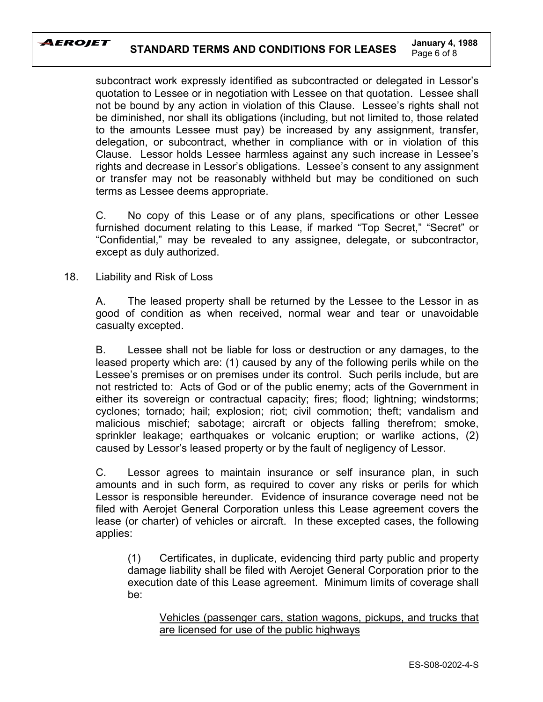

subcontract work expressly identified as subcontracted or delegated in Lessor's quotation to Lessee or in negotiation with Lessee on that quotation. Lessee shall not be bound by any action in violation of this Clause. Lessee's rights shall not be diminished, nor shall its obligations (including, but not limited to, those related to the amounts Lessee must pay) be increased by any assignment, transfer, delegation, or subcontract, whether in compliance with or in violation of this Clause. Lessor holds Lessee harmless against any such increase in Lessee's rights and decrease in Lessor's obligations. Lessee's consent to any assignment or transfer may not be reasonably withheld but may be conditioned on such terms as Lessee deems appropriate.

C. No copy of this Lease or of any plans, specifications or other Lessee furnished document relating to this Lease, if marked "Top Secret," "Secret" or ìConfidential,î may be revealed to any assignee, delegate, or subcontractor, except as duly authorized.

# 18. Liability and Risk of Loss

A. The leased property shall be returned by the Lessee to the Lessor in as good of condition as when received, normal wear and tear or unavoidable casualty excepted.

B. Lessee shall not be liable for loss or destruction or any damages, to the leased property which are: (1) caused by any of the following perils while on the Lessee's premises or on premises under its control. Such perils include, but are not restricted to: Acts of God or of the public enemy; acts of the Government in either its sovereign or contractual capacity; fires; flood; lightning; windstorms; cyclones; tornado; hail; explosion; riot; civil commotion; theft; vandalism and malicious mischief; sabotage; aircraft or objects falling therefrom; smoke, sprinkler leakage; earthquakes or volcanic eruption; or warlike actions, (2) caused by Lessor's leased property or by the fault of negligency of Lessor.

C. Lessor agrees to maintain insurance or self insurance plan, in such amounts and in such form, as required to cover any risks or perils for which Lessor is responsible hereunder. Evidence of insurance coverage need not be filed with Aerojet General Corporation unless this Lease agreement covers the lease (or charter) of vehicles or aircraft. In these excepted cases, the following applies:

(1) Certificates, in duplicate, evidencing third party public and property damage liability shall be filed with Aerojet General Corporation prior to the execution date of this Lease agreement. Minimum limits of coverage shall be:

Vehicles (passenger cars, station wagons, pickups, and trucks that are licensed for use of the public highways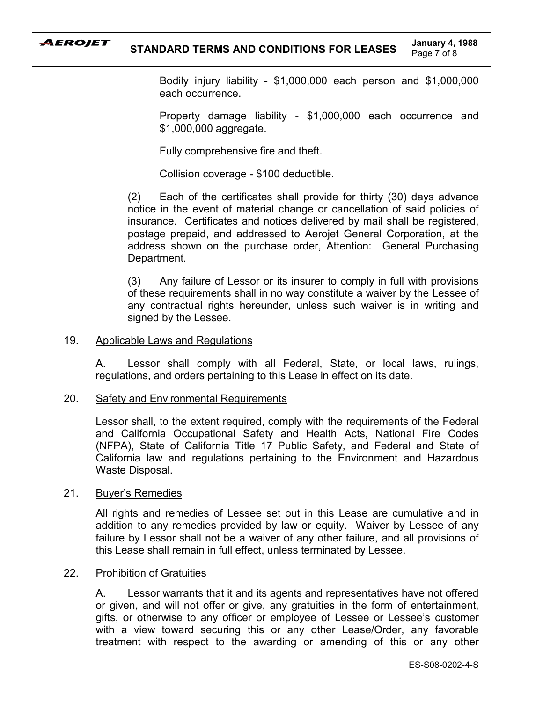

Bodily injury liability - \$1,000,000 each person and \$1,000,000 each occurrence.

Property damage liability - \$1,000,000 each occurrence and \$1,000,000 aggregate.

Fully comprehensive fire and theft.

Collision coverage - \$100 deductible.

(2) Each of the certificates shall provide for thirty (30) days advance notice in the event of material change or cancellation of said policies of insurance. Certificates and notices delivered by mail shall be registered, postage prepaid, and addressed to Aerojet General Corporation, at the address shown on the purchase order, Attention: General Purchasing Department.

(3) Any failure of Lessor or its insurer to comply in full with provisions of these requirements shall in no way constitute a waiver by the Lessee of any contractual rights hereunder, unless such waiver is in writing and signed by the Lessee.

# 19. Applicable Laws and Regulations

A. Lessor shall comply with all Federal, State, or local laws, rulings, regulations, and orders pertaining to this Lease in effect on its date.

# 20. Safety and Environmental Requirements

Lessor shall, to the extent required, comply with the requirements of the Federal and California Occupational Safety and Health Acts, National Fire Codes (NFPA), State of California Title 17 Public Safety, and Federal and State of California law and regulations pertaining to the Environment and Hazardous Waste Disposal.

# 21. Buyer's Remedies

All rights and remedies of Lessee set out in this Lease are cumulative and in addition to any remedies provided by law or equity. Waiver by Lessee of any failure by Lessor shall not be a waiver of any other failure, and all provisions of this Lease shall remain in full effect, unless terminated by Lessee.

# 22. Prohibition of Gratuities

A. Lessor warrants that it and its agents and representatives have not offered or given, and will not offer or give, any gratuities in the form of entertainment, gifts, or otherwise to any officer or employee of Lessee or Lessee's customer with a view toward securing this or any other Lease/Order, any favorable treatment with respect to the awarding or amending of this or any other